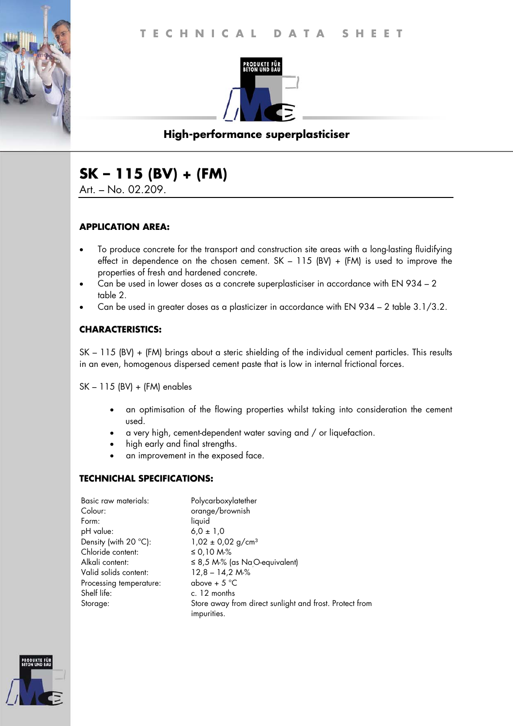

# **High-performance superplasticiser**

# **SK – 115 (BV) + (FM)**

Art. – No. 02.209.

## **APPLICATION AREA:**

- To produce concrete for the transport and construction site areas with a long-lasting fluidifying effect in dependence on the chosen cement.  $SK - 115$  (BV) + (FM) is used to improve the properties of fresh and hardened concrete.
- Can be used in lower doses as a concrete superplasticiser in accordance with EN 934 2 table 2.
- Can be used in greater doses as a plasticizer in accordance with EN 934 2 table 3.1/3.2.

## **CHARACTERISTICS:**

SK – 115 (BV) + (FM) brings about a steric shielding of the individual cement particles. This results in an even, homogenous dispersed cement paste that is low in internal frictional forces.

SK – 115 (BV) + (FM) enables

- an optimisation of the flowing properties whilst taking into consideration the cement used.
- a very high, cement-dependent water saving and / or liquefaction.
- high early and final strengths.
- an improvement in the exposed face.

#### **TECHNICHAL SPECIFICATIONS:**

| Basic raw materials:    | Polycarboxylatether                                                    |
|-------------------------|------------------------------------------------------------------------|
| Colour:                 | orange/brownish                                                        |
| Form:                   | liquid                                                                 |
| pH value:               | $6.0 \pm 1.0$                                                          |
| Density (with 20 °C):   | $1,02 \pm 0,02$ g/cm <sup>3</sup>                                      |
| Chloride content:       | ≤ 0,10 M-%                                                             |
| Alkali content:         | $\leq$ 8,5 M-% (as NaO-equivalent)                                     |
| Valid solids content:   | $12,8 - 14,2 Mo$ %                                                     |
| Processing temperature: | above + $5^{\circ}$ C                                                  |
| Shelf life:             | c. 12 months                                                           |
| Storage:                | Store away from direct sunlight and frost. Protect from<br>impurities. |